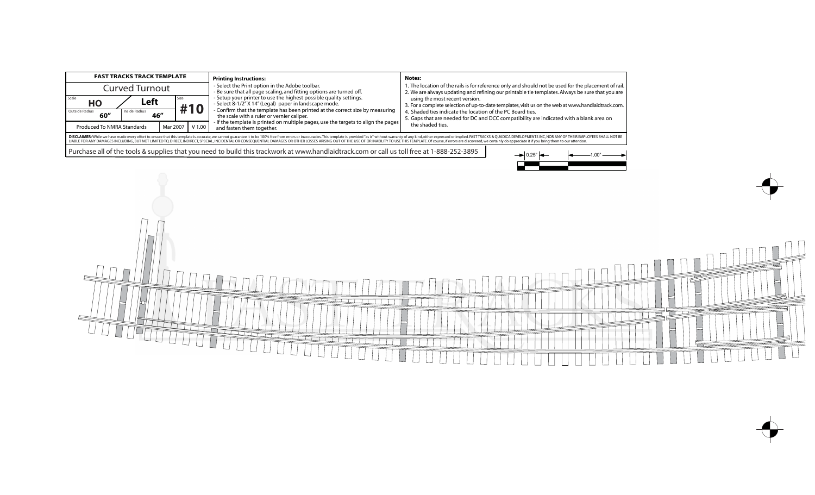